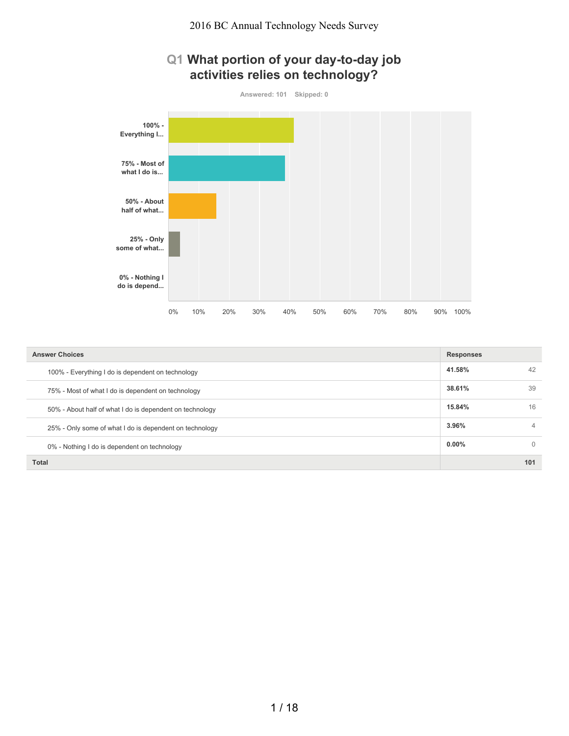



| <b>Answer Choices</b>                                    | <b>Responses</b> |          |
|----------------------------------------------------------|------------------|----------|
| 100% - Everything I do is dependent on technology        | 41.58%           | 42       |
| 75% - Most of what I do is dependent on technology       | 38.61%           | 39       |
| 50% - About half of what I do is dependent on technology | 15.84%           | 16       |
| 25% - Only some of what I do is dependent on technology  | 3.96%            | 4        |
| 0% - Nothing I do is dependent on technology             | $0.00\%$         | $\Omega$ |
| <b>Total</b>                                             |                  | 101      |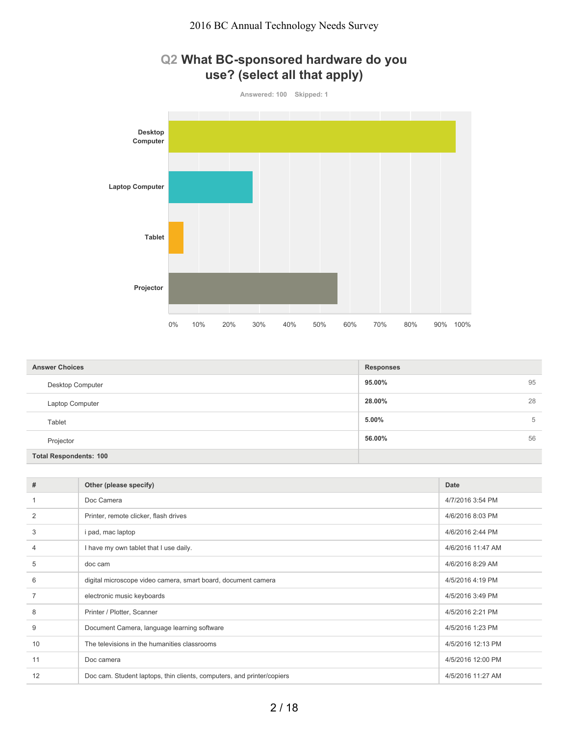

| <b>Answer Choices</b>         | <b>Responses</b> |
|-------------------------------|------------------|
| Desktop Computer              | 95<br>95.00%     |
| Laptop Computer               | 28<br>28.00%     |
| Tablet                        | 5.00%<br>5       |
| Projector                     | 56.00%<br>56     |
| <b>Total Respondents: 100</b> |                  |

| #  | Other (please specify)                                                 | <b>Date</b>       |
|----|------------------------------------------------------------------------|-------------------|
|    | Doc Camera                                                             | 4/7/2016 3:54 PM  |
| 2  | Printer, remote clicker, flash drives                                  | 4/6/2016 8:03 PM  |
| 3  | i pad, mac laptop                                                      | 4/6/2016 2:44 PM  |
| 4  | I have my own tablet that I use daily.                                 | 4/6/2016 11:47 AM |
| 5  | doc cam                                                                | 4/6/2016 8:29 AM  |
| 6  | digital microscope video camera, smart board, document camera          | 4/5/2016 4:19 PM  |
|    | electronic music keyboards                                             | 4/5/2016 3:49 PM  |
| 8  | Printer / Plotter, Scanner                                             | 4/5/2016 2:21 PM  |
| 9  | Document Camera, language learning software                            | 4/5/2016 1:23 PM  |
| 10 | The televisions in the humanities classrooms                           | 4/5/2016 12:13 PM |
| 11 | Doc camera                                                             | 4/5/2016 12:00 PM |
| 12 | Doc cam. Student laptops, thin clients, computers, and printer/copiers | 4/5/2016 11:27 AM |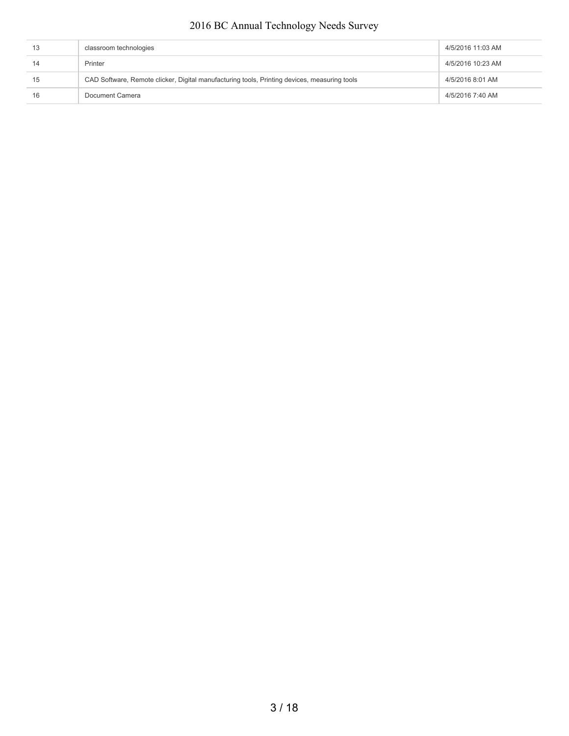| 13 | classroom technologies                                                                       | 4/5/2016 11:03 AM |
|----|----------------------------------------------------------------------------------------------|-------------------|
| 14 | Printer                                                                                      | 4/5/2016 10:23 AM |
| 15 | CAD Software, Remote clicker, Digital manufacturing tools, Printing devices, measuring tools | 4/5/2016 8:01 AM  |
| 16 | Document Camera                                                                              | 4/5/2016 7:40 AM  |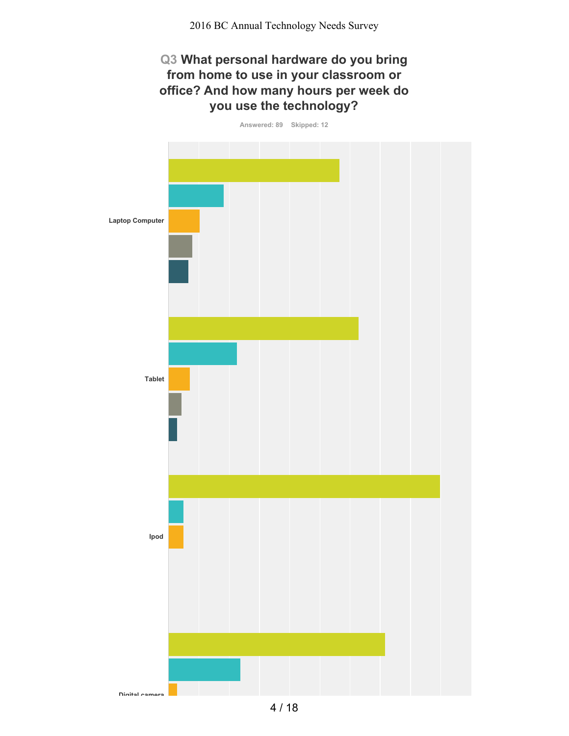# **Q3 What personal hardware do you bring from home to use in your classroom or office? And how many hours per week do you use the technology?**



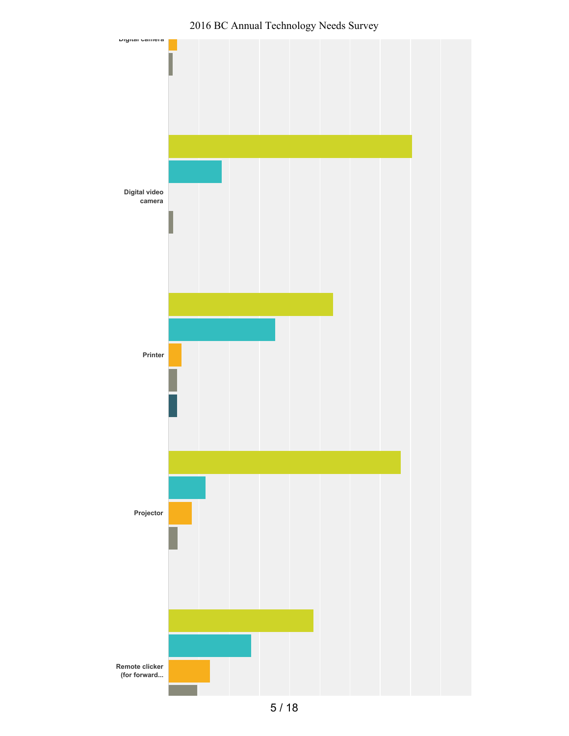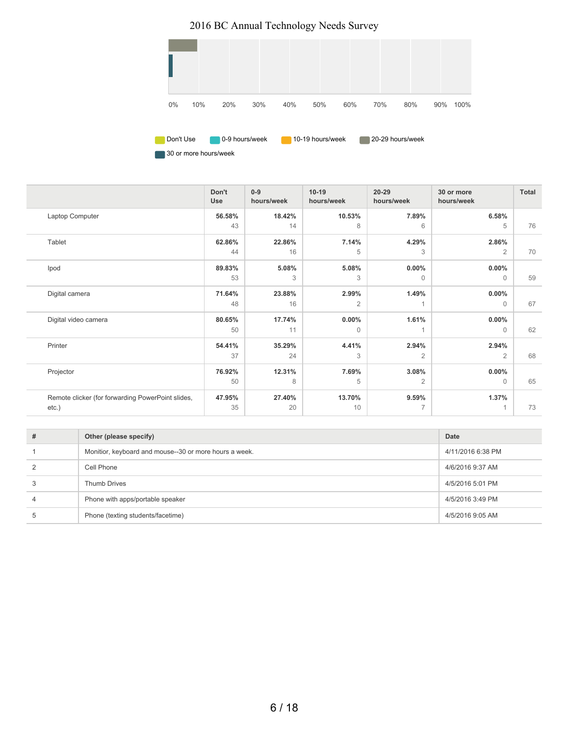

30 or more hours/week

|                                                   | Don't<br><b>Use</b> | $0 - 9$<br>hours/week | $10 - 19$<br>hours/week | $20 - 29$<br>hours/week | 30 or more<br>hours/week | Total |
|---------------------------------------------------|---------------------|-----------------------|-------------------------|-------------------------|--------------------------|-------|
| Laptop Computer                                   | 56.58%              | 18.42%                | 10.53%                  | 7.89%                   | 6.58%                    |       |
|                                                   | 43                  | 14                    | 8                       | 6                       | 5                        | 76    |
| Tablet                                            | 62.86%              | 22.86%                | 7.14%                   | 4.29%                   | 2.86%                    |       |
|                                                   | 44                  | 16                    | 5                       | 3                       | 2                        | 70    |
| Ipod                                              | 89.83%              | 5.08%                 | 5.08%                   | $0.00\%$                | $0.00\%$                 |       |
|                                                   | 53                  | 3                     | 3                       | $\mathbf{0}$            | $\Omega$                 | 59    |
| Digital camera                                    | 71.64%              | 23.88%                | 2.99%                   | 1.49%                   | $0.00\%$                 |       |
|                                                   | 48                  | 16                    | $\overline{2}$          |                         | $\Omega$                 | 67    |
| Digital video camera                              | 80.65%              | 17.74%                | $0.00\%$                | 1.61%                   | $0.00\%$                 |       |
|                                                   | 50                  | 11                    | 0                       |                         | $\Omega$                 | 62    |
| Printer                                           | 54.41%              | 35.29%                | 4.41%                   | 2.94%                   | 2.94%                    |       |
|                                                   | 37                  | 24                    | 3                       | $\overline{2}$          | $\overline{2}$           | 68    |
| Projector                                         | 76.92%              | 12.31%                | 7.69%                   | 3.08%                   | $0.00\%$                 |       |
|                                                   | 50                  | 8                     | 5                       | $\overline{2}$          | $\Omega$                 | 65    |
| Remote clicker (for forwarding PowerPoint slides, | 47.95%              | 27.40%                | 13.70%                  | 9.59%                   | 1.37%                    |       |
| $etc.$ )                                          | 35                  | 20                    | 10                      | $\overline{7}$          |                          | 73    |

| # | Other (please specify)                                 | Date              |
|---|--------------------------------------------------------|-------------------|
|   | Monitior, keyboard and mouse--30 or more hours a week. | 4/11/2016 6:38 PM |
| 2 | Cell Phone                                             | 4/6/2016 9:37 AM  |
|   | <b>Thumb Drives</b>                                    | 4/5/2016 5:01 PM  |
| 4 | Phone with apps/portable speaker                       | 4/5/2016 3:49 PM  |
| 5 | Phone (texting students/facetime)                      | 4/5/2016 9:05 AM  |
|   |                                                        |                   |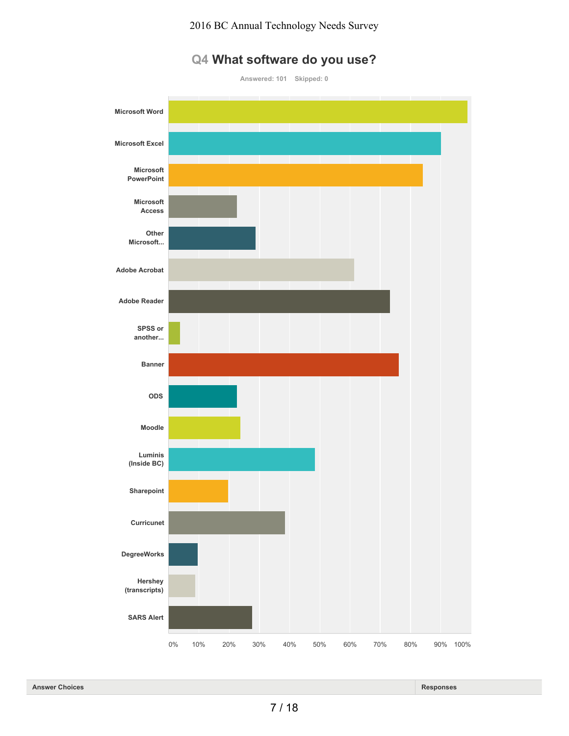

# **Q4 What software do you use?**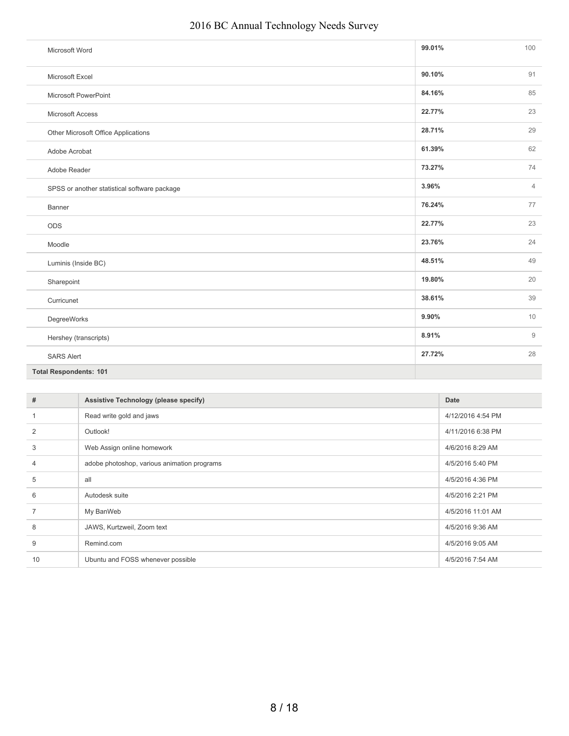| 2016 BC Annual Technology Needs Survey |  |  |  |
|----------------------------------------|--|--|--|
|----------------------------------------|--|--|--|

| Microsoft Word                               | 99.01% | 100            |
|----------------------------------------------|--------|----------------|
| Microsoft Excel                              | 90.10% | 91             |
| Microsoft PowerPoint                         | 84.16% | 85             |
| Microsoft Access                             | 22.77% | 23             |
| Other Microsoft Office Applications          | 28.71% | 29             |
| Adobe Acrobat                                | 61.39% | 62             |
| Adobe Reader                                 | 73.27% | 74             |
| SPSS or another statistical software package | 3.96%  | $\overline{4}$ |
| Banner                                       | 76.24% | 77             |
| ODS                                          | 22.77% | 23             |
| Moodle                                       | 23.76% | 24             |
| Luminis (Inside BC)                          | 48.51% | 49             |
| Sharepoint                                   | 19.80% | 20             |
| Curricunet                                   | 38.61% | 39             |
| DegreeWorks                                  | 9.90%  | 10             |
| Hershey (transcripts)                        | 8.91%  | 9              |
| <b>SARS Alert</b>                            | 27.72% | 28             |
| <b>Total Respondents: 101</b>                |        |                |

| #  | Assistive Technology (please specify)       | Date              |
|----|---------------------------------------------|-------------------|
|    | Read write gold and jaws                    | 4/12/2016 4:54 PM |
| 2  | Outlook!                                    | 4/11/2016 6:38 PM |
| 3  | Web Assign online homework                  | 4/6/2016 8:29 AM  |
| 4  | adobe photoshop, various animation programs | 4/5/2016 5:40 PM  |
| 5  | all                                         | 4/5/2016 4:36 PM  |
| 6  | Autodesk suite                              | 4/5/2016 2:21 PM  |
|    | My BanWeb                                   | 4/5/2016 11:01 AM |
| 8  | JAWS, Kurtzweil, Zoom text                  | 4/5/2016 9:36 AM  |
| 9  | Remind.com                                  | 4/5/2016 9:05 AM  |
| 10 | Ubuntu and FOSS whenever possible           | 4/5/2016 7:54 AM  |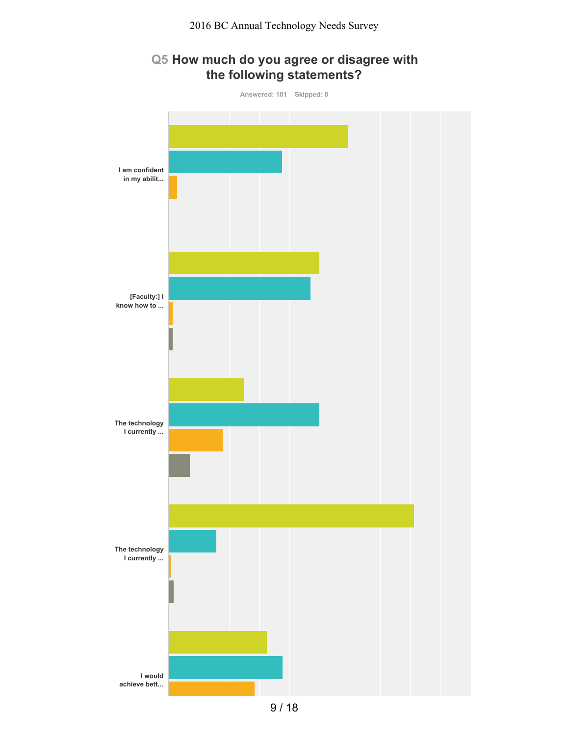#### **Q5 How much do you agree or disagree with the following statements?**

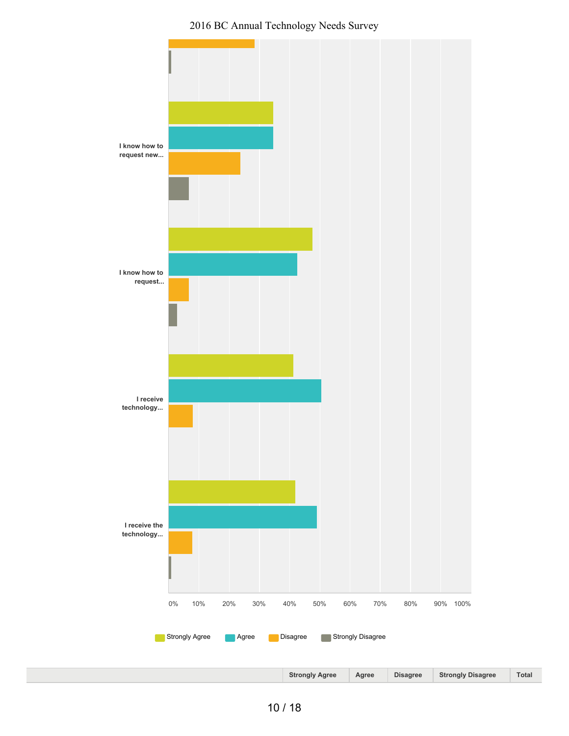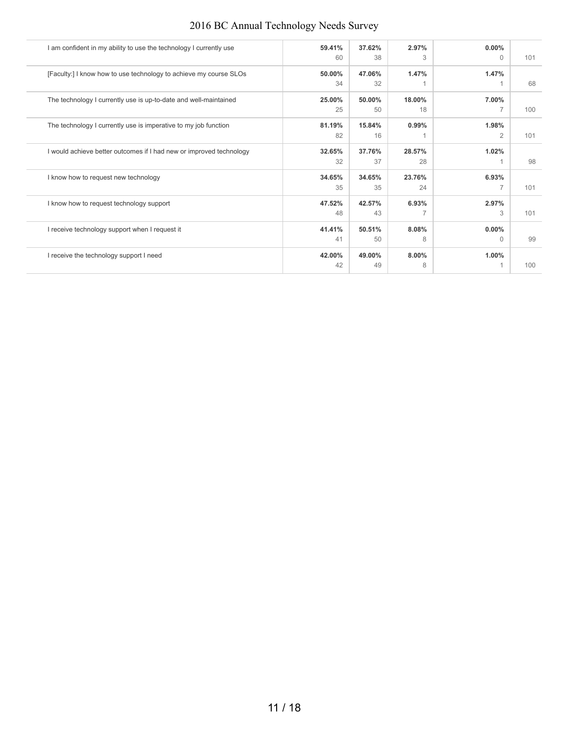| I am confident in my ability to use the technology I currently use  | 59.41% | 37.62% | 2.97%  | 0.00%          |     |
|---------------------------------------------------------------------|--------|--------|--------|----------------|-----|
|                                                                     | 60     | 38     | 3      | $\Omega$       | 101 |
| [Faculty:] I know how to use technology to achieve my course SLOs   | 50.00% | 47.06% | 1.47%  | 1.47%          |     |
|                                                                     | 34     | 32     |        |                | 68  |
| The technology I currently use is up-to-date and well-maintained    | 25.00% | 50.00% | 18.00% | 7.00%          |     |
|                                                                     | 25     | 50     | 18     | $\overline{7}$ | 100 |
| The technology I currently use is imperative to my job function     | 81.19% | 15.84% | 0.99%  | 1.98%          |     |
|                                                                     | 82     | 16     |        | $\overline{2}$ | 101 |
| I would achieve better outcomes if I had new or improved technology | 32.65% | 37.76% | 28.57% | 1.02%          |     |
|                                                                     | 32     | 37     | 28     |                | 98  |
| I know how to request new technology                                | 34.65% | 34.65% | 23.76% | 6.93%          |     |
|                                                                     | 35     | 35     | 24     | $\overline{7}$ | 101 |
| I know how to request technology support                            | 47.52% | 42.57% | 6.93%  | 2.97%          |     |
|                                                                     | 48     | 43     |        | 3              | 101 |
| I receive technology support when I request it                      | 41.41% | 50.51% | 8.08%  | 0.00%          |     |
|                                                                     | 41     | 50     | 8      | $\Omega$       | 99  |
| I receive the technology support I need                             | 42.00% | 49.00% | 8.00%  | 1.00%          |     |
|                                                                     | 42     | 49     | 8      |                | 100 |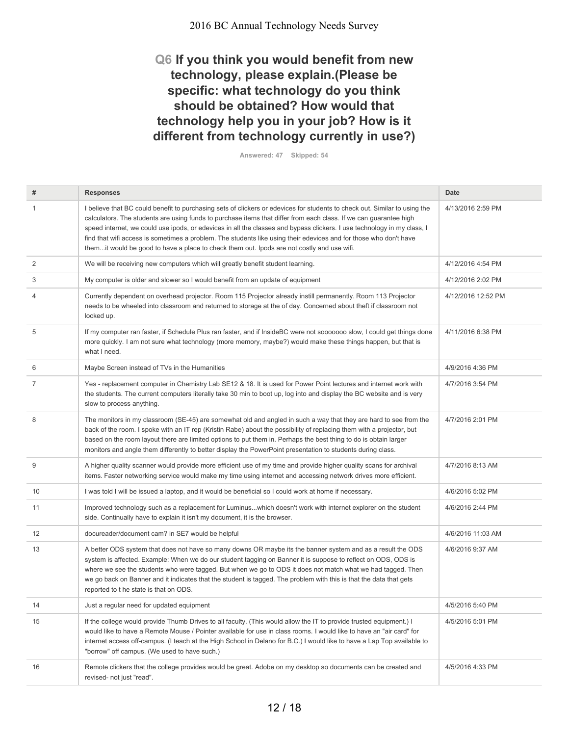# **Q6 If you think you would benefit from new technology, please explain.(Please be specific: what technology do you think should be obtained? How would that technology help you in your job? How is it different from technology currently in use?)**

**Answered: 47 Skipped: 54**

| #              | <b>Responses</b>                                                                                                                                                                                                                                                                                                                                                                                                                                                                                                                                                                              | <b>Date</b>        |
|----------------|-----------------------------------------------------------------------------------------------------------------------------------------------------------------------------------------------------------------------------------------------------------------------------------------------------------------------------------------------------------------------------------------------------------------------------------------------------------------------------------------------------------------------------------------------------------------------------------------------|--------------------|
| 1              | I believe that BC could benefit to purchasing sets of clickers or edevices for students to check out. Similar to using the<br>calculators. The students are using funds to purchase items that differ from each class. If we can guarantee high<br>speed internet, we could use ipods, or edevices in all the classes and bypass clickers. I use technology in my class, I<br>find that wifi access is sometimes a problem. The students like using their edevices and for those who don't have<br>themit would be good to have a place to check them out. Ipods are not costly and use wifi. | 4/13/2016 2:59 PM  |
| 2              | We will be receiving new computers which will greatly benefit student learning.                                                                                                                                                                                                                                                                                                                                                                                                                                                                                                               | 4/12/2016 4:54 PM  |
| 3              | My computer is older and slower so I would benefit from an update of equipment                                                                                                                                                                                                                                                                                                                                                                                                                                                                                                                | 4/12/2016 2:02 PM  |
| 4              | Currently dependent on overhead projector. Room 115 Projector already instill permanently. Room 113 Projector<br>needs to be wheeled into classroom and returned to storage at the of day. Concerned about theft if classroom not<br>locked up.                                                                                                                                                                                                                                                                                                                                               | 4/12/2016 12:52 PM |
| 5              | If my computer ran faster, if Schedule Plus ran faster, and if InsideBC were not sooooooo slow, I could get things done<br>more quickly. I am not sure what technology (more memory, maybe?) would make these things happen, but that is<br>what I need.                                                                                                                                                                                                                                                                                                                                      | 4/11/2016 6:38 PM  |
| 6              | Maybe Screen instead of TVs in the Humanities                                                                                                                                                                                                                                                                                                                                                                                                                                                                                                                                                 | 4/9/2016 4:36 PM   |
| $\overline{7}$ | Yes - replacement computer in Chemistry Lab SE12 & 18. It is used for Power Point lectures and internet work with<br>the students. The current computers literally take 30 min to boot up, log into and display the BC website and is very<br>slow to process anything.                                                                                                                                                                                                                                                                                                                       | 4/7/2016 3:54 PM   |
| 8              | The monitors in my classroom (SE-45) are somewhat old and angled in such a way that they are hard to see from the<br>back of the room. I spoke with an IT rep (Kristin Rabe) about the possibility of replacing them with a projector, but<br>based on the room layout there are limited options to put them in. Perhaps the best thing to do is obtain larger<br>monitors and angle them differently to better display the PowerPoint presentation to students during class.                                                                                                                 | 4/7/2016 2:01 PM   |
| 9              | A higher quality scanner would provide more efficient use of my time and provide higher quality scans for archival<br>items. Faster networking service would make my time using internet and accessing network drives more efficient.                                                                                                                                                                                                                                                                                                                                                         | 4/7/2016 8:13 AM   |
| 10             | I was told I will be issued a laptop, and it would be beneficial so I could work at home if necessary.                                                                                                                                                                                                                                                                                                                                                                                                                                                                                        | 4/6/2016 5:02 PM   |
| 11             | Improved technology such as a replacement for Luminuswhich doesn't work with internet explorer on the student<br>side. Continually have to explain it isn't my document, it is the browser.                                                                                                                                                                                                                                                                                                                                                                                                   | 4/6/2016 2:44 PM   |
| 12             | docureader/document cam? in SE7 would be helpful                                                                                                                                                                                                                                                                                                                                                                                                                                                                                                                                              | 4/6/2016 11:03 AM  |
| 13             | A better ODS system that does not have so many downs OR maybe its the banner system and as a result the ODS<br>system is affected. Example: When we do our student tagging on Banner it is suppose to reflect on ODS, ODS is<br>where we see the students who were tagged. But when we go to ODS it does not match what we had tagged. Then<br>we go back on Banner and it indicates that the student is tagged. The problem with this is that the data that gets<br>reported to t he state is that on ODS.                                                                                   | 4/6/2016 9:37 AM   |
| 14             | Just a regular need for updated equipment                                                                                                                                                                                                                                                                                                                                                                                                                                                                                                                                                     | 4/5/2016 5:40 PM   |
| 15             | If the college would provide Thumb Drives to all faculty. (This would allow the IT to provide trusted equipment.) I<br>would like to have a Remote Mouse / Pointer available for use in class rooms. I would like to have an "air card" for<br>internet access off-campus. (I teach at the High School in Delano for B.C.) I would like to have a Lap Top available to<br>"borrow" off campus. (We used to have such.)                                                                                                                                                                        | 4/5/2016 5:01 PM   |
| 16             | Remote clickers that the college provides would be great. Adobe on my desktop so documents can be created and<br>revised- not just "read".                                                                                                                                                                                                                                                                                                                                                                                                                                                    | 4/5/2016 4:33 PM   |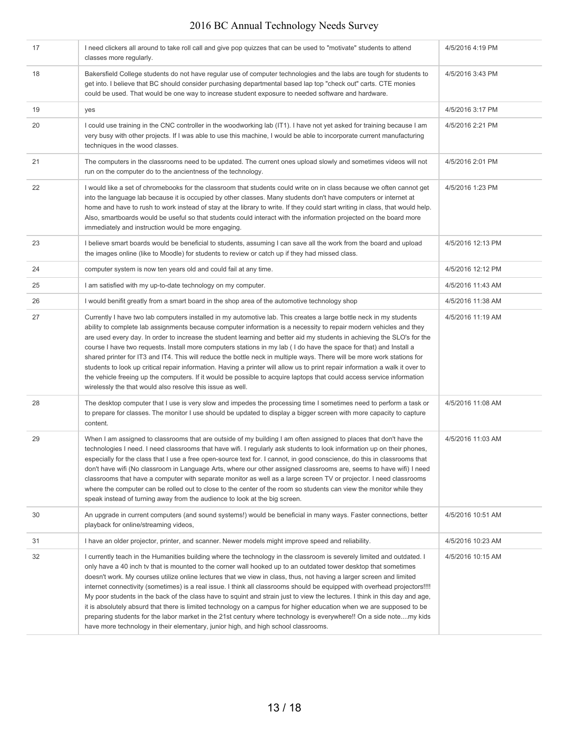| 17 | I need clickers all around to take roll call and give pop quizzes that can be used to "motivate" students to attend<br>classes more regularly.                                                                                                                                                                                                                                                                                                                                                                                                                                                                                                                                                                                                                                                                                                                                                                                                                    | 4/5/2016 4:19 PM  |
|----|-------------------------------------------------------------------------------------------------------------------------------------------------------------------------------------------------------------------------------------------------------------------------------------------------------------------------------------------------------------------------------------------------------------------------------------------------------------------------------------------------------------------------------------------------------------------------------------------------------------------------------------------------------------------------------------------------------------------------------------------------------------------------------------------------------------------------------------------------------------------------------------------------------------------------------------------------------------------|-------------------|
| 18 | Bakersfield College students do not have regular use of computer technologies and the labs are tough for students to<br>get into. I believe that BC should consider purchasing departmental based lap top "check out" carts. CTE monies<br>could be used. That would be one way to increase student exposure to needed software and hardware.                                                                                                                                                                                                                                                                                                                                                                                                                                                                                                                                                                                                                     | 4/5/2016 3:43 PM  |
| 19 | yes                                                                                                                                                                                                                                                                                                                                                                                                                                                                                                                                                                                                                                                                                                                                                                                                                                                                                                                                                               | 4/5/2016 3:17 PM  |
| 20 | I could use training in the CNC controller in the woodworking lab (IT1). I have not yet asked for training because I am<br>very busy with other projects. If I was able to use this machine, I would be able to incorporate current manufacturing<br>techniques in the wood classes.                                                                                                                                                                                                                                                                                                                                                                                                                                                                                                                                                                                                                                                                              | 4/5/2016 2:21 PM  |
| 21 | The computers in the classrooms need to be updated. The current ones upload slowly and sometimes videos will not<br>run on the computer do to the ancientness of the technology.                                                                                                                                                                                                                                                                                                                                                                                                                                                                                                                                                                                                                                                                                                                                                                                  | 4/5/2016 2:01 PM  |
| 22 | I would like a set of chromebooks for the classroom that students could write on in class because we often cannot get<br>into the language lab because it is occupied by other classes. Many students don't have computers or internet at<br>home and have to rush to work instead of stay at the library to write. If they could start writing in class, that would help.<br>Also, smartboards would be useful so that students could interact with the information projected on the board more<br>immediately and instruction would be more engaging.                                                                                                                                                                                                                                                                                                                                                                                                           | 4/5/2016 1:23 PM  |
| 23 | I believe smart boards would be beneficial to students, assuming I can save all the work from the board and upload<br>the images online (like to Moodle) for students to review or catch up if they had missed class.                                                                                                                                                                                                                                                                                                                                                                                                                                                                                                                                                                                                                                                                                                                                             | 4/5/2016 12:13 PM |
| 24 | computer system is now ten years old and could fail at any time.                                                                                                                                                                                                                                                                                                                                                                                                                                                                                                                                                                                                                                                                                                                                                                                                                                                                                                  | 4/5/2016 12:12 PM |
| 25 | I am satisfied with my up-to-date technology on my computer.                                                                                                                                                                                                                                                                                                                                                                                                                                                                                                                                                                                                                                                                                                                                                                                                                                                                                                      | 4/5/2016 11:43 AM |
| 26 | I would benifit greatly from a smart board in the shop area of the automotive technology shop                                                                                                                                                                                                                                                                                                                                                                                                                                                                                                                                                                                                                                                                                                                                                                                                                                                                     | 4/5/2016 11:38 AM |
| 27 | Currently I have two lab computers installed in my automotive lab. This creates a large bottle neck in my students<br>ability to complete lab assignments because computer information is a necessity to repair modern vehicles and they<br>are used every day. In order to increase the student learning and better aid my students in achieving the SLO's for the<br>course I have two requests. Install more computers stations in my lab (I do have the space for that) and Install a<br>shared printer for IT3 and IT4. This will reduce the bottle neck in multiple ways. There will be more work stations for<br>students to look up critical repair information. Having a printer will allow us to print repair information a walk it over to<br>the vehicle freeing up the computers. If it would be possible to acquire laptops that could access service information<br>wirelessly the that would also resolve this issue as well.                     | 4/5/2016 11:19 AM |
| 28 | The desktop computer that I use is very slow and impedes the processing time I sometimes need to perform a task or<br>to prepare for classes. The monitor I use should be updated to display a bigger screen with more capacity to capture<br>content.                                                                                                                                                                                                                                                                                                                                                                                                                                                                                                                                                                                                                                                                                                            | 4/5/2016 11:08 AM |
| 29 | When I am assigned to classrooms that are outside of my building I am often assigned to places that don't have the<br>technologies I need. I need classrooms that have wifi. I regularly ask students to look information up on their phones,<br>especially for the class that I use a free open-source text for. I cannot, in good conscience, do this in classrooms that<br>don't have wifi (No classroom in Language Arts, where our other assigned classrooms are, seems to have wifi) I need<br>classrooms that have a computer with separate monitor as well as a large screen TV or projector. I need classrooms<br>where the computer can be rolled out to close to the center of the room so students can view the monitor while they<br>speak instead of turning away from the audience to look at the big screen.                                                                                                                                      | 4/5/2016 11:03 AM |
| 30 | An upgrade in current computers (and sound systems!) would be beneficial in many ways. Faster connections, better<br>playback for online/streaming videos,                                                                                                                                                                                                                                                                                                                                                                                                                                                                                                                                                                                                                                                                                                                                                                                                        | 4/5/2016 10:51 AM |
| 31 | I have an older projector, printer, and scanner. Newer models might improve speed and reliability.                                                                                                                                                                                                                                                                                                                                                                                                                                                                                                                                                                                                                                                                                                                                                                                                                                                                | 4/5/2016 10:23 AM |
| 32 | I currently teach in the Humanities building where the technology in the classroom is severely limited and outdated. I<br>only have a 40 inch tv that is mounted to the corner wall hooked up to an outdated tower desktop that sometimes<br>doesn't work. My courses utilize online lectures that we view in class, thus, not having a larger screen and limited<br>internet connectivity (sometimes) is a real issue. I think all classrooms should be equipped with overhead projectors!!!!<br>My poor students in the back of the class have to squint and strain just to view the lectures. I think in this day and age,<br>it is absolutely absurd that there is limited technology on a campus for higher education when we are supposed to be<br>preparing students for the labor market in the 21st century where technology is everywhere!! On a side notemy kids<br>have more technology in their elementary, junior high, and high school classrooms. | 4/5/2016 10:15 AM |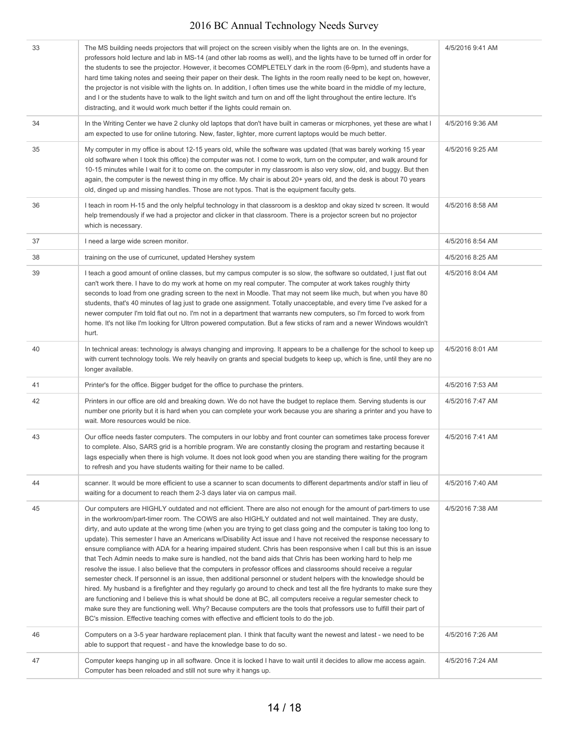| 33 | The MS building needs projectors that will project on the screen visibly when the lights are on. In the evenings,<br>professors hold lecture and lab in MS-14 (and other lab rooms as well), and the lights have to be turned off in order for<br>the students to see the projector. However, it becomes COMPLETELY dark in the room (6-9pm), and students have a<br>hard time taking notes and seeing their paper on their desk. The lights in the room really need to be kept on, however,<br>the projector is not visible with the lights on. In addition, I often times use the white board in the middle of my lecture,<br>and I or the students have to walk to the light switch and turn on and off the light throughout the entire lecture. It's<br>distracting, and it would work much better if the lights could remain on.                                                                                                                                                                                                                                                                                                                                                                                                                                                                                                                                                                                                              | 4/5/2016 9:41 AM |
|----|----------------------------------------------------------------------------------------------------------------------------------------------------------------------------------------------------------------------------------------------------------------------------------------------------------------------------------------------------------------------------------------------------------------------------------------------------------------------------------------------------------------------------------------------------------------------------------------------------------------------------------------------------------------------------------------------------------------------------------------------------------------------------------------------------------------------------------------------------------------------------------------------------------------------------------------------------------------------------------------------------------------------------------------------------------------------------------------------------------------------------------------------------------------------------------------------------------------------------------------------------------------------------------------------------------------------------------------------------------------------------------------------------------------------------------------------------|------------------|
| 34 | In the Writing Center we have 2 clunky old laptops that don't have built in cameras or micrphones, yet these are what I<br>am expected to use for online tutoring. New, faster, lighter, more current laptops would be much better.                                                                                                                                                                                                                                                                                                                                                                                                                                                                                                                                                                                                                                                                                                                                                                                                                                                                                                                                                                                                                                                                                                                                                                                                                | 4/5/2016 9:36 AM |
| 35 | My computer in my office is about 12-15 years old, while the software was updated (that was barely working 15 year<br>old software when I took this office) the computer was not. I come to work, turn on the computer, and walk around for<br>10-15 minutes while I wait for it to come on. the computer in my classroom is also very slow, old, and buggy. But then<br>again, the computer is the newest thing in my office. My chair is about 20+ years old, and the desk is about 70 years<br>old, dinged up and missing handles. Those are not typos. That is the equipment faculty gets.                                                                                                                                                                                                                                                                                                                                                                                                                                                                                                                                                                                                                                                                                                                                                                                                                                                     | 4/5/2016 9:25 AM |
| 36 | I teach in room H-15 and the only helpful technology in that classroom is a desktop and okay sized tv screen. It would<br>help tremendously if we had a projector and clicker in that classroom. There is a projector screen but no projector<br>which is necessary.                                                                                                                                                                                                                                                                                                                                                                                                                                                                                                                                                                                                                                                                                                                                                                                                                                                                                                                                                                                                                                                                                                                                                                               | 4/5/2016 8:58 AM |
| 37 | I need a large wide screen monitor.                                                                                                                                                                                                                                                                                                                                                                                                                                                                                                                                                                                                                                                                                                                                                                                                                                                                                                                                                                                                                                                                                                                                                                                                                                                                                                                                                                                                                | 4/5/2016 8:54 AM |
| 38 | training on the use of curricunet, updated Hershey system                                                                                                                                                                                                                                                                                                                                                                                                                                                                                                                                                                                                                                                                                                                                                                                                                                                                                                                                                                                                                                                                                                                                                                                                                                                                                                                                                                                          | 4/5/2016 8:25 AM |
| 39 | I teach a good amount of online classes, but my campus computer is so slow, the software so outdated, I just flat out<br>can't work there. I have to do my work at home on my real computer. The computer at work takes roughly thirty<br>seconds to load from one grading screen to the next in Moodle. That may not seem like much, but when you have 80<br>students, that's 40 minutes of lag just to grade one assignment. Totally unacceptable, and every time I've asked for a<br>newer computer I'm told flat out no. I'm not in a department that warrants new computers, so I'm forced to work from<br>home. It's not like I'm looking for Ultron powered computation. But a few sticks of ram and a newer Windows wouldn't<br>hurt.                                                                                                                                                                                                                                                                                                                                                                                                                                                                                                                                                                                                                                                                                                      | 4/5/2016 8:04 AM |
| 40 | In technical areas: technology is always changing and improving. It appears to be a challenge for the school to keep up<br>with current technology tools. We rely heavily on grants and special budgets to keep up, which is fine, until they are no<br>longer available.                                                                                                                                                                                                                                                                                                                                                                                                                                                                                                                                                                                                                                                                                                                                                                                                                                                                                                                                                                                                                                                                                                                                                                          | 4/5/2016 8:01 AM |
| 41 | Printer's for the office. Bigger budget for the office to purchase the printers.                                                                                                                                                                                                                                                                                                                                                                                                                                                                                                                                                                                                                                                                                                                                                                                                                                                                                                                                                                                                                                                                                                                                                                                                                                                                                                                                                                   | 4/5/2016 7:53 AM |
| 42 | Printers in our office are old and breaking down. We do not have the budget to replace them. Serving students is our<br>number one priority but it is hard when you can complete your work because you are sharing a printer and you have to<br>wait. More resources would be nice.                                                                                                                                                                                                                                                                                                                                                                                                                                                                                                                                                                                                                                                                                                                                                                                                                                                                                                                                                                                                                                                                                                                                                                | 4/5/2016 7:47 AM |
| 43 | Our office needs faster computers. The computers in our lobby and front counter can sometimes take process forever<br>to complete. Also, SARS grid is a horrible program. We are constantly closing the program and restarting because it<br>lags especially when there is high volume. It does not look good when you are standing there waiting for the program<br>to refresh and you have students waiting for their name to be called.                                                                                                                                                                                                                                                                                                                                                                                                                                                                                                                                                                                                                                                                                                                                                                                                                                                                                                                                                                                                         | 4/5/2016 7:41 AM |
| 44 | scanner. It would be more efficient to use a scanner to scan documents to different departments and/or staff in lieu of<br>waiting for a document to reach them 2-3 days later via on campus mail.                                                                                                                                                                                                                                                                                                                                                                                                                                                                                                                                                                                                                                                                                                                                                                                                                                                                                                                                                                                                                                                                                                                                                                                                                                                 | 4/5/2016 7:40 AM |
| 45 | Our computers are HIGHLY outdated and not efficient. There are also not enough for the amount of part-timers to use<br>in the workroom/part-timer room. The COWS are also HIGHLY outdated and not well maintained. They are dusty,<br>dirty, and auto update at the wrong time (when you are trying to get class going and the computer is taking too long to<br>update). This semester I have an Americans w/Disability Act issue and I have not received the response necessary to<br>ensure compliance with ADA for a hearing impaired student. Chris has been responsive when I call but this is an issue<br>that Tech Admin needs to make sure is handled, not the band aids that Chris has been working hard to help me<br>resolve the issue. I also believe that the computers in professor offices and classrooms should receive a regular<br>semester check. If personnel is an issue, then additional personnel or student helpers with the knowledge should be<br>hired. My husband is a firefighter and they regularly go around to check and test all the fire hydrants to make sure they<br>are functioning and I believe this is what should be done at BC, all computers receive a regular semester check to<br>make sure they are functioning well. Why? Because computers are the tools that professors use to fulfill their part of<br>BC's mission. Effective teaching comes with effective and efficient tools to do the job. | 4/5/2016 7:38 AM |
| 46 | Computers on a 3-5 year hardware replacement plan. I think that faculty want the newest and latest - we need to be<br>able to support that request - and have the knowledge base to do so.                                                                                                                                                                                                                                                                                                                                                                                                                                                                                                                                                                                                                                                                                                                                                                                                                                                                                                                                                                                                                                                                                                                                                                                                                                                         | 4/5/2016 7:26 AM |
| 47 | Computer keeps hanging up in all software. Once it is locked I have to wait until it decides to allow me access again.<br>Computer has been reloaded and still not sure why it hangs up.                                                                                                                                                                                                                                                                                                                                                                                                                                                                                                                                                                                                                                                                                                                                                                                                                                                                                                                                                                                                                                                                                                                                                                                                                                                           | 4/5/2016 7:24 AM |
|    |                                                                                                                                                                                                                                                                                                                                                                                                                                                                                                                                                                                                                                                                                                                                                                                                                                                                                                                                                                                                                                                                                                                                                                                                                                                                                                                                                                                                                                                    |                  |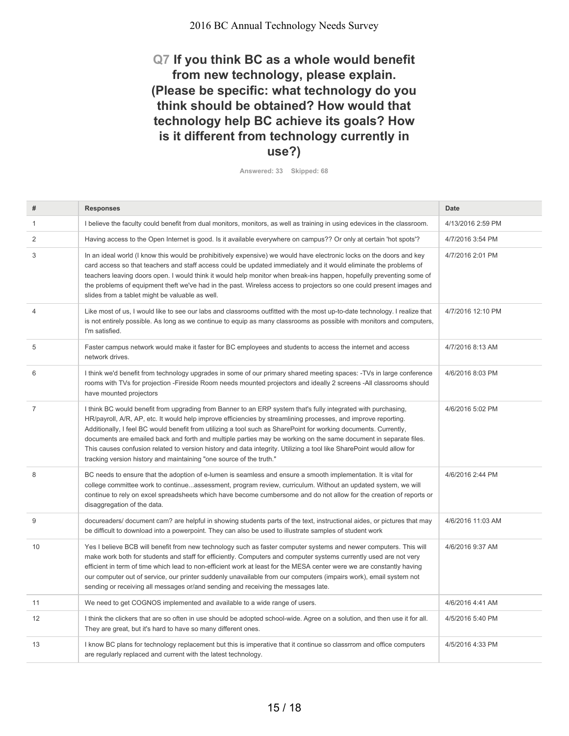#### **Q7 If you think BC as a whole would benefit from new technology, please explain. (Please be specific: what technology do you think should be obtained? How would that technology help BC achieve its goals? How is it different from technology currently in use?)**

**Answered: 33 Skipped: 68**

| #              | <b>Responses</b>                                                                                                                                                                                                                                                                                                                                                                                                                                                                                                                                                                                                                                                        | <b>Date</b>       |
|----------------|-------------------------------------------------------------------------------------------------------------------------------------------------------------------------------------------------------------------------------------------------------------------------------------------------------------------------------------------------------------------------------------------------------------------------------------------------------------------------------------------------------------------------------------------------------------------------------------------------------------------------------------------------------------------------|-------------------|
| $\mathbf{1}$   | I believe the faculty could benefit from dual monitors, monitors, as well as training in using edevices in the classroom.                                                                                                                                                                                                                                                                                                                                                                                                                                                                                                                                               | 4/13/2016 2:59 PM |
| $\overline{2}$ | Having access to the Open Internet is good. Is it available everywhere on campus?? Or only at certain 'hot spots'?                                                                                                                                                                                                                                                                                                                                                                                                                                                                                                                                                      | 4/7/2016 3:54 PM  |
| 3              | In an ideal world (I know this would be prohibitively expensive) we would have electronic locks on the doors and key<br>card access so that teachers and staff access could be updated immediately and it would eliminate the problems of<br>teachers leaving doors open. I would think it would help monitor when break-ins happen, hopefully preventing some of<br>the problems of equipment theft we've had in the past. Wireless access to projectors so one could present images and<br>slides from a tablet might be valuable as well.                                                                                                                            | 4/7/2016 2:01 PM  |
| 4              | Like most of us, I would like to see our labs and classrooms outfitted with the most up-to-date technology. I realize that<br>is not entirely possible. As long as we continue to equip as many classrooms as possible with monitors and computers,<br>I'm satisfied.                                                                                                                                                                                                                                                                                                                                                                                                   | 4/7/2016 12:10 PM |
| 5              | Faster campus network would make it faster for BC employees and students to access the internet and access<br>network drives.                                                                                                                                                                                                                                                                                                                                                                                                                                                                                                                                           | 4/7/2016 8:13 AM  |
| 6              | I think we'd benefit from technology upgrades in some of our primary shared meeting spaces: -TVs in large conference<br>rooms with TVs for projection -Fireside Room needs mounted projectors and ideally 2 screens -All classrooms should<br>have mounted projectors                                                                                                                                                                                                                                                                                                                                                                                                   | 4/6/2016 8:03 PM  |
| $\overline{7}$ | I think BC would benefit from upgrading from Banner to an ERP system that's fully integrated with purchasing,<br>HR/payroll, A/R, AP, etc. It would help improve efficiencies by streamlining processes, and improve reporting.<br>Additionally, I feel BC would benefit from utilizing a tool such as SharePoint for working documents. Currently,<br>documents are emailed back and forth and multiple parties may be working on the same document in separate files.<br>This causes confusion related to version history and data integrity. Utilizing a tool like SharePoint would allow for<br>tracking version history and maintaining "one source of the truth." | 4/6/2016 5:02 PM  |
| 8              | BC needs to ensure that the adoption of e-lumen is seamless and ensure a smooth implementation. It is vital for<br>college committee work to continueassessment, program review, curriculum. Without an updated system, we will<br>continue to rely on excel spreadsheets which have become cumbersome and do not allow for the creation of reports or<br>disaggregation of the data.                                                                                                                                                                                                                                                                                   | 4/6/2016 2:44 PM  |
| 9              | docureaders/ document cam? are helpful in showing students parts of the text, instructional aides, or pictures that may<br>be difficult to download into a powerpoint. They can also be used to illustrate samples of student work                                                                                                                                                                                                                                                                                                                                                                                                                                      | 4/6/2016 11:03 AM |
| 10             | Yes I believe BCB will benefit from new technology such as faster computer systems and newer computers. This will<br>make work both for students and staff for efficiently. Computers and computer systems currently used are not very<br>efficient in term of time which lead to non-efficient work at least for the MESA center were we are constantly having<br>our computer out of service, our printer suddenly unavailable from our computers (impairs work), email system not<br>sending or receiving all messages or/and sending and receiving the messages late.                                                                                               | 4/6/2016 9:37 AM  |
| 11             | We need to get COGNOS implemented and available to a wide range of users.                                                                                                                                                                                                                                                                                                                                                                                                                                                                                                                                                                                               | 4/6/2016 4:41 AM  |
| 12             | I think the clickers that are so often in use should be adopted school-wide. Agree on a solution, and then use it for all.<br>They are great, but it's hard to have so many different ones.                                                                                                                                                                                                                                                                                                                                                                                                                                                                             | 4/5/2016 5:40 PM  |
| 13             | I know BC plans for technology replacement but this is imperative that it continue so classrrom and office computers<br>are regularly replaced and current with the latest technology.                                                                                                                                                                                                                                                                                                                                                                                                                                                                                  | 4/5/2016 4:33 PM  |
|                |                                                                                                                                                                                                                                                                                                                                                                                                                                                                                                                                                                                                                                                                         |                   |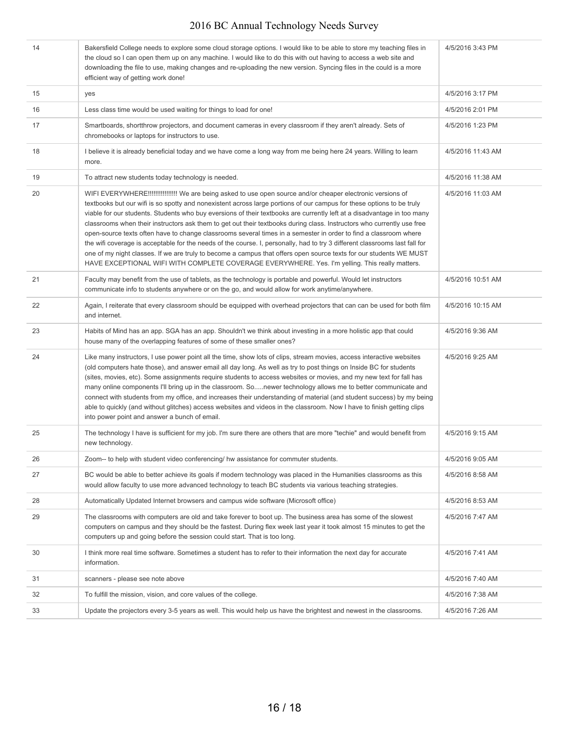| 14 | Bakersfield College needs to explore some cloud storage options. I would like to be able to store my teaching files in<br>the cloud so I can open them up on any machine. I would like to do this with out having to access a web site and<br>downloading the file to use, making changes and re-uploading the new version. Syncing files in the could is a more<br>efficient way of getting work done!                                                                                                                                                                                                                                                                                                                                                                                                                                                                                                                                                                    | 4/5/2016 3:43 PM  |
|----|----------------------------------------------------------------------------------------------------------------------------------------------------------------------------------------------------------------------------------------------------------------------------------------------------------------------------------------------------------------------------------------------------------------------------------------------------------------------------------------------------------------------------------------------------------------------------------------------------------------------------------------------------------------------------------------------------------------------------------------------------------------------------------------------------------------------------------------------------------------------------------------------------------------------------------------------------------------------------|-------------------|
| 15 | yes                                                                                                                                                                                                                                                                                                                                                                                                                                                                                                                                                                                                                                                                                                                                                                                                                                                                                                                                                                        | 4/5/2016 3:17 PM  |
| 16 | Less class time would be used waiting for things to load for one!                                                                                                                                                                                                                                                                                                                                                                                                                                                                                                                                                                                                                                                                                                                                                                                                                                                                                                          | 4/5/2016 2:01 PM  |
| 17 | Smartboards, shortthrow projectors, and document cameras in every classroom if they aren't already. Sets of<br>chromebooks or laptops for instructors to use.                                                                                                                                                                                                                                                                                                                                                                                                                                                                                                                                                                                                                                                                                                                                                                                                              | 4/5/2016 1:23 PM  |
| 18 | I believe it is already beneficial today and we have come a long way from me being here 24 years. Willing to learn<br>more.                                                                                                                                                                                                                                                                                                                                                                                                                                                                                                                                                                                                                                                                                                                                                                                                                                                | 4/5/2016 11:43 AM |
| 19 | To attract new students today technology is needed.                                                                                                                                                                                                                                                                                                                                                                                                                                                                                                                                                                                                                                                                                                                                                                                                                                                                                                                        | 4/5/2016 11:38 AM |
| 20 | WIFI EVERYWHERE!!!!!!!!!!!!!!!!!!!!! We are being asked to use open source and/or cheaper electronic versions of<br>textbooks but our wifi is so spotty and nonexistent across large portions of our campus for these options to be truly<br>viable for our students. Students who buy eversions of their textbooks are currently left at a disadvantage in too many<br>classrooms when their instructors ask them to get out their textbooks during class. Instructors who currently use free<br>open-source texts often have to change classrooms several times in a semester in order to find a classroom where<br>the wifi coverage is acceptable for the needs of the course. I, personally, had to try 3 different classrooms last fall for<br>one of my night classes. If we are truly to become a campus that offers open source texts for our students WE MUST<br>HAVE EXCEPTIONAL WIFI WITH COMPLETE COVERAGE EVERYWHERE. Yes. I'm yelling. This really matters. | 4/5/2016 11:03 AM |
| 21 | Faculty may benefit from the use of tablets, as the technology is portable and powerful. Would let instructors<br>communicate info to students anywhere or on the go, and would allow for work anytime/anywhere.                                                                                                                                                                                                                                                                                                                                                                                                                                                                                                                                                                                                                                                                                                                                                           | 4/5/2016 10:51 AM |
| 22 | Again, I reiterate that every classroom should be equipped with overhead projectors that can can be used for both film<br>and internet.                                                                                                                                                                                                                                                                                                                                                                                                                                                                                                                                                                                                                                                                                                                                                                                                                                    | 4/5/2016 10:15 AM |
| 23 | Habits of Mind has an app. SGA has an app. Shouldn't we think about investing in a more holistic app that could<br>house many of the overlapping features of some of these smaller ones?                                                                                                                                                                                                                                                                                                                                                                                                                                                                                                                                                                                                                                                                                                                                                                                   | 4/5/2016 9:36 AM  |
| 24 | Like many instructors, I use power point all the time, show lots of clips, stream movies, access interactive websites<br>(old computers hate those), and answer email all day long. As well as try to post things on Inside BC for students<br>(sites, movies, etc). Some assignments require students to access websites or movies, and my new text for fall has<br>many online components I'll bring up in the classroom. Sonewer technology allows me to better communicate and<br>connect with students from my office, and increases their understanding of material (and student success) by my being<br>able to quickly (and without glitches) access websites and videos in the classroom. Now I have to finish getting clips<br>into power point and answer a bunch of email.                                                                                                                                                                                     | 4/5/2016 9:25 AM  |
| 25 | The technology I have is sufficient for my job. I'm sure there are others that are more "techie" and would benefit from<br>new technology.                                                                                                                                                                                                                                                                                                                                                                                                                                                                                                                                                                                                                                                                                                                                                                                                                                 | 4/5/2016 9:15 AM  |
| 26 | Zoom-- to help with student video conferencing/ hw assistance for commuter students.                                                                                                                                                                                                                                                                                                                                                                                                                                                                                                                                                                                                                                                                                                                                                                                                                                                                                       | 4/5/2016 9:05 AM  |
| 27 | BC would be able to better achieve its goals if modern technology was placed in the Humanities classrooms as this<br>would allow faculty to use more advanced technology to teach BC students via various teaching strategies.                                                                                                                                                                                                                                                                                                                                                                                                                                                                                                                                                                                                                                                                                                                                             | 4/5/2016 8:58 AM  |
| 28 | Automatically Updated Internet browsers and campus wide software (Microsoft office)                                                                                                                                                                                                                                                                                                                                                                                                                                                                                                                                                                                                                                                                                                                                                                                                                                                                                        | 4/5/2016 8:53 AM  |
| 29 | The classrooms with computers are old and take forever to boot up. The business area has some of the slowest<br>computers on campus and they should be the fastest. During flex week last year it took almost 15 minutes to get the<br>computers up and going before the session could start. That is too long.                                                                                                                                                                                                                                                                                                                                                                                                                                                                                                                                                                                                                                                            | 4/5/2016 7:47 AM  |
| 30 | I think more real time software. Sometimes a student has to refer to their information the next day for accurate<br>information.                                                                                                                                                                                                                                                                                                                                                                                                                                                                                                                                                                                                                                                                                                                                                                                                                                           | 4/5/2016 7:41 AM  |
| 31 | scanners - please see note above                                                                                                                                                                                                                                                                                                                                                                                                                                                                                                                                                                                                                                                                                                                                                                                                                                                                                                                                           | 4/5/2016 7:40 AM  |
| 32 | To fulfill the mission, vision, and core values of the college.                                                                                                                                                                                                                                                                                                                                                                                                                                                                                                                                                                                                                                                                                                                                                                                                                                                                                                            | 4/5/2016 7:38 AM  |
| 33 | Update the projectors every 3-5 years as well. This would help us have the brightest and newest in the classrooms.                                                                                                                                                                                                                                                                                                                                                                                                                                                                                                                                                                                                                                                                                                                                                                                                                                                         | 4/5/2016 7:26 AM  |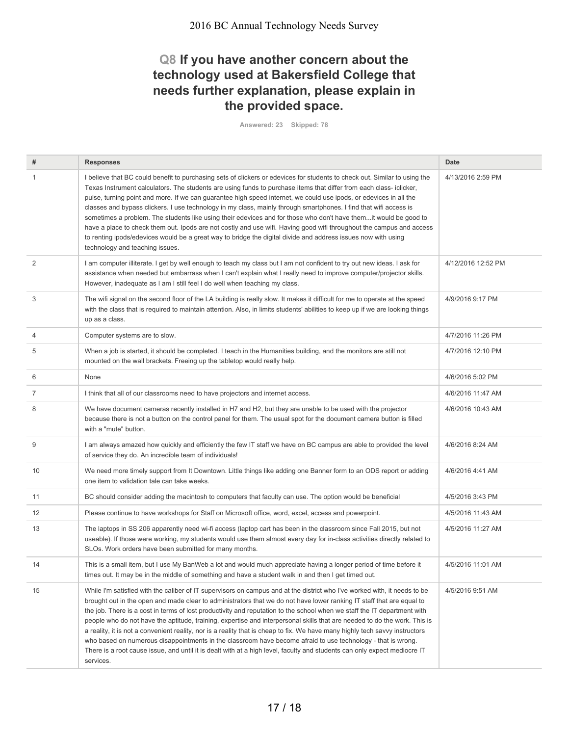#### **Q8 If you have another concern about the technology used at Bakersfield College that needs further explanation, please explain in the provided space.**

**Answered: 23 Skipped: 78**

| #  | <b>Responses</b>                                                                                                                                                                                                                                                                                                                                                                                                                                                                                                                                                                                                                                                                                                                                                                                                                                                                                      | Date               |
|----|-------------------------------------------------------------------------------------------------------------------------------------------------------------------------------------------------------------------------------------------------------------------------------------------------------------------------------------------------------------------------------------------------------------------------------------------------------------------------------------------------------------------------------------------------------------------------------------------------------------------------------------------------------------------------------------------------------------------------------------------------------------------------------------------------------------------------------------------------------------------------------------------------------|--------------------|
| 1  | I believe that BC could benefit to purchasing sets of clickers or edevices for students to check out. Similar to using the<br>Texas Instrument calculators. The students are using funds to purchase items that differ from each class-iclicker,<br>pulse, turning point and more. If we can guarantee high speed internet, we could use ipods, or edevices in all the<br>classes and bypass clickers. I use technology in my class, mainly through smartphones. I find that wifi access is<br>sometimes a problem. The students like using their edevices and for those who don't have themit would be good to<br>have a place to check them out. Ipods are not costly and use wifi. Having good wifi throughout the campus and access<br>to renting ipods/edevices would be a great way to bridge the digital divide and address issues now with using<br>technology and teaching issues.           | 4/13/2016 2:59 PM  |
| 2  | I am computer illiterate. I get by well enough to teach my class but I am not confident to try out new ideas. I ask for<br>assistance when needed but embarrass when I can't explain what I really need to improve computer/projector skills.<br>However, inadequate as I am I still feel I do well when teaching my class.                                                                                                                                                                                                                                                                                                                                                                                                                                                                                                                                                                           | 4/12/2016 12:52 PM |
| 3  | The wifi signal on the second floor of the LA building is really slow. It makes it difficult for me to operate at the speed<br>with the class that is required to maintain attention. Also, in limits students' abilities to keep up if we are looking things<br>up as a class.                                                                                                                                                                                                                                                                                                                                                                                                                                                                                                                                                                                                                       | 4/9/2016 9:17 PM   |
| 4  | Computer systems are to slow.                                                                                                                                                                                                                                                                                                                                                                                                                                                                                                                                                                                                                                                                                                                                                                                                                                                                         | 4/7/2016 11:26 PM  |
| 5  | When a job is started, it should be completed. I teach in the Humanities building, and the monitors are still not<br>mounted on the wall brackets. Freeing up the tabletop would really help.                                                                                                                                                                                                                                                                                                                                                                                                                                                                                                                                                                                                                                                                                                         | 4/7/2016 12:10 PM  |
| 6  | None                                                                                                                                                                                                                                                                                                                                                                                                                                                                                                                                                                                                                                                                                                                                                                                                                                                                                                  | 4/6/2016 5:02 PM   |
| 7  | I think that all of our classrooms need to have projectors and internet access.                                                                                                                                                                                                                                                                                                                                                                                                                                                                                                                                                                                                                                                                                                                                                                                                                       | 4/6/2016 11:47 AM  |
| 8  | We have document cameras recently installed in H7 and H2, but they are unable to be used with the projector<br>because there is not a button on the control panel for them. The usual spot for the document camera button is filled<br>with a "mute" button.                                                                                                                                                                                                                                                                                                                                                                                                                                                                                                                                                                                                                                          | 4/6/2016 10:43 AM  |
| 9  | I am always amazed how quickly and efficiently the few IT staff we have on BC campus are able to provided the level<br>of service they do. An incredible team of individuals!                                                                                                                                                                                                                                                                                                                                                                                                                                                                                                                                                                                                                                                                                                                         | 4/6/2016 8:24 AM   |
| 10 | We need more timely support from It Downtown. Little things like adding one Banner form to an ODS report or adding<br>one item to validation tale can take weeks.                                                                                                                                                                                                                                                                                                                                                                                                                                                                                                                                                                                                                                                                                                                                     | 4/6/2016 4:41 AM   |
| 11 | BC should consider adding the macintosh to computers that faculty can use. The option would be beneficial                                                                                                                                                                                                                                                                                                                                                                                                                                                                                                                                                                                                                                                                                                                                                                                             | 4/5/2016 3:43 PM   |
| 12 | Please continue to have workshops for Staff on Microsoft office, word, excel, access and powerpoint.                                                                                                                                                                                                                                                                                                                                                                                                                                                                                                                                                                                                                                                                                                                                                                                                  | 4/5/2016 11:43 AM  |
| 13 | The laptops in SS 206 apparently need wi-fi access (laptop cart has been in the classroom since Fall 2015, but not<br>useable). If those were working, my students would use them almost every day for in-class activities directly related to<br>SLOs. Work orders have been submitted for many months.                                                                                                                                                                                                                                                                                                                                                                                                                                                                                                                                                                                              | 4/5/2016 11:27 AM  |
| 14 | This is a small item, but I use My BanWeb a lot and would much appreciate having a longer period of time before it<br>times out. It may be in the middle of something and have a student walk in and then I get timed out.                                                                                                                                                                                                                                                                                                                                                                                                                                                                                                                                                                                                                                                                            | 4/5/2016 11:01 AM  |
| 15 | While I'm satisfied with the caliber of IT supervisors on campus and at the district who I've worked with, it needs to be<br>brought out in the open and made clear to administrators that we do not have lower ranking IT staff that are equal to<br>the job. There is a cost in terms of lost productivity and reputation to the school when we staff the IT department with<br>people who do not have the aptitude, training, expertise and interpersonal skills that are needed to do the work. This is<br>a reality, it is not a convenient reality, nor is a reality that is cheap to fix. We have many highly tech savvy instructors<br>who based on numerous disappointments in the classroom have become afraid to use technology - that is wrong.<br>There is a root cause issue, and until it is dealt with at a high level, faculty and students can only expect mediocre IT<br>services. | 4/5/2016 9:51 AM   |